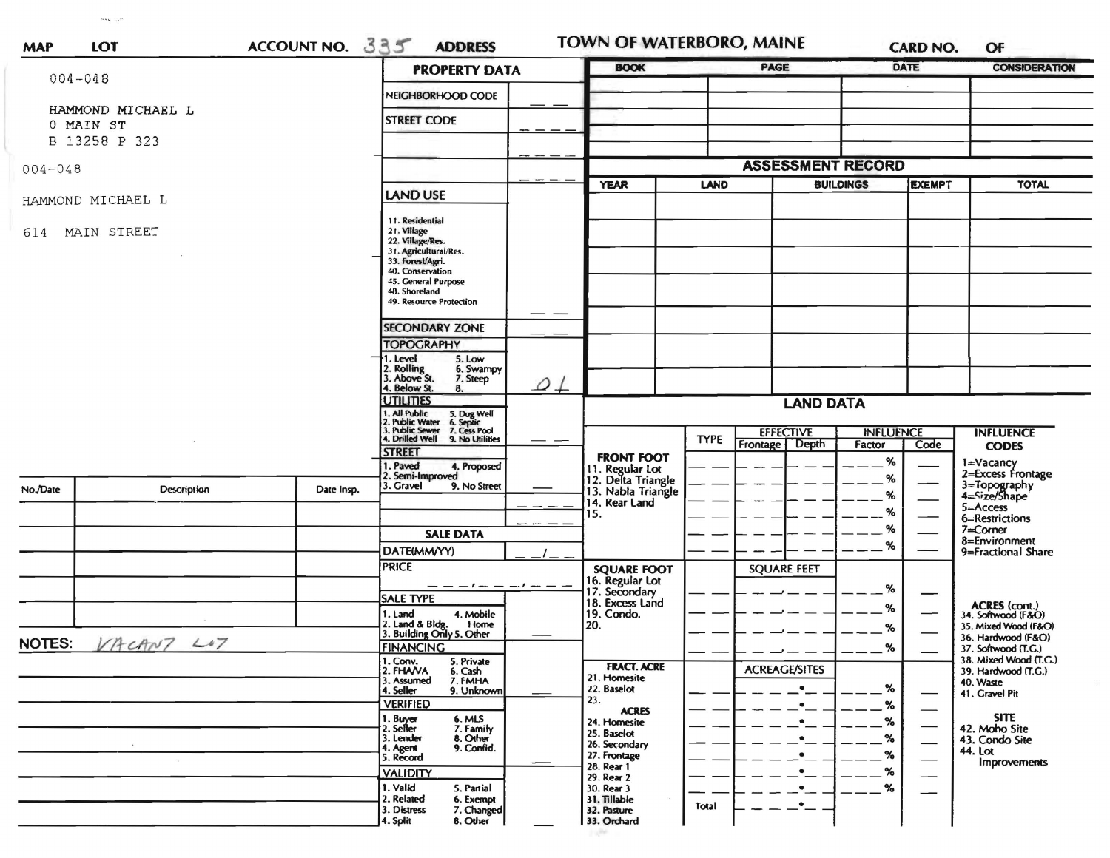| <b>MAP</b>    | LOT                            | ACCOUNT NO. 335      | <b>ADDRESS</b>                                                                    |                                    | TOWN OF WATERBORO, MAINE                                                         |             |                                    | <b>CARD NO.</b>                    | OF                               |                                              |
|---------------|--------------------------------|----------------------|-----------------------------------------------------------------------------------|------------------------------------|----------------------------------------------------------------------------------|-------------|------------------------------------|------------------------------------|----------------------------------|----------------------------------------------|
| $004 - 048$   |                                | <b>PROPERTY DATA</b> |                                                                                   | <b>BOOK</b>                        |                                                                                  | <b>PAGE</b> |                                    | <b>DATE</b>                        | <b>CONSIDERATION</b>             |                                              |
|               |                                |                      | NEIGHBORHOOD CODE                                                                 |                                    |                                                                                  |             |                                    |                                    |                                  |                                              |
|               | HAMMOND MICHAEL L<br>0 MAIN ST |                      | <b>STREET CODE</b>                                                                |                                    |                                                                                  |             |                                    |                                    |                                  |                                              |
|               | B 13258 P 323                  |                      |                                                                                   |                                    |                                                                                  |             |                                    |                                    |                                  |                                              |
| $004 - 048$   |                                |                      |                                                                                   |                                    | <b>ASSESSMENT RECORD</b>                                                         |             |                                    |                                    |                                  |                                              |
|               |                                |                      | <b>LAND USE</b>                                                                   |                                    | <b>YEAR</b>                                                                      | LAND        |                                    | <b>BUILDINGS</b>                   | <b>EXEMPT</b>                    | <b>TOTAL</b>                                 |
|               | HAMMOND MICHAEL L              |                      |                                                                                   |                                    |                                                                                  |             |                                    |                                    |                                  |                                              |
| 614           | MAIN STREET                    |                      | 11. Residential<br>21. Village<br>22. Village/Res.<br>31. Agricultural/Res.       |                                    |                                                                                  |             |                                    |                                    |                                  |                                              |
|               |                                |                      | 33. Forest/Agri.<br>40. Conservation                                              |                                    |                                                                                  |             |                                    |                                    |                                  |                                              |
|               |                                |                      | 45. General Purpose<br>48. Shoreland<br>49. Resource Protection                   |                                    |                                                                                  |             |                                    |                                    |                                  |                                              |
|               |                                |                      |                                                                                   |                                    |                                                                                  |             |                                    |                                    |                                  |                                              |
|               |                                |                      | <b>SECONDARY ZONE</b><br><b>TOPOGRAPHY</b>                                        |                                    |                                                                                  |             |                                    |                                    |                                  |                                              |
|               |                                |                      | 1. Level<br>5. Low<br>2. Rolling<br>3. Above St.<br>6. Swampy<br>7. Steep         |                                    |                                                                                  |             |                                    |                                    |                                  |                                              |
|               |                                |                      | 4. Below St.<br>8.<br><b>UTILITIES</b>                                            | $\overline{\mathcal{Q}}\downarrow$ |                                                                                  |             | <b>LAND DATA</b>                   |                                    |                                  |                                              |
|               |                                |                      | 1. All Public<br>5. Dug Well<br>6. Septic<br>7. Cess Pool<br>9. No Utilities      |                                    |                                                                                  |             |                                    |                                    |                                  |                                              |
|               |                                |                      | 1. Air Tuotte<br>3. Public Sewer<br>4. Drilled Well                               |                                    |                                                                                  | <b>TYPE</b> | <b>EFFECTIVE</b><br>Frontage Depth | <b>INFLUENCE</b><br>Factor<br>Code | <b>INFLUENCE</b><br><b>CODES</b> |                                              |
|               |                                |                      | <b>STREET</b><br>1. Paved<br>4. Proposed<br>2. Semi-Improved                      |                                    | <b>FRONT FOOT</b><br>11. Regular Lot<br>12. Delta Triangle<br>13. Nabla Triangle |             |                                    | %<br>%                             |                                  | 1=Vacancy<br>2=Excess Frontage               |
| No./Date      | <b>Description</b>             | Date Insp.           | 3. Gravel<br>9. No Street                                                         |                                    | 14. Rear Land                                                                    |             |                                    | %                                  |                                  | 3=Topography<br>4=Size/Shape                 |
|               |                                |                      |                                                                                   |                                    | 15.                                                                              |             |                                    | $\%$                               |                                  | 5=Access<br>6=Restrictions                   |
|               |                                |                      | <b>SALE DATA</b>                                                                  |                                    |                                                                                  |             |                                    | %<br>%                             |                                  | 7=Corner<br>8=Environment                    |
|               |                                |                      | DATE(MM/YY)<br><b>PRICE</b>                                                       |                                    | <b>SQUARE FOOT</b>                                                               |             | <b>SQUARE FEET</b>                 |                                    |                                  | 9=Fractional Share                           |
|               |                                |                      | $-        -$                                                                      |                                    | 16. Regular Lot                                                                  |             |                                    | $\%$                               |                                  |                                              |
|               |                                |                      | <b>SALE TYPE</b>                                                                  |                                    | 17. Secondary<br>18. Excess Land                                                 |             |                                    | %                                  |                                  | ACRES (cont.)<br>34. Softwood (F&O)          |
|               |                                |                      | 1. Land<br>4. Mobile<br>2. Land & Bldg. Home<br>3. Building Only 5. Other<br>Home |                                    | 19. Condo.<br>20.                                                                |             |                                    | %                                  |                                  | 35. Mixed Wood (F&O)                         |
| <b>NOTES:</b> | VACANT LOT                     |                      | <b>FINANCING</b>                                                                  |                                    |                                                                                  |             |                                    | %                                  |                                  | 36. Hardwood (F&O)<br>37. Softwood (T.G.)    |
|               |                                |                      | 1. Conv.<br>5. Private<br>2. FHAVA<br>6. Cash                                     |                                    | <b>FRACT. ACRE</b>                                                               |             | <b>ACREAGE/SITES</b>               |                                    |                                  | 38. Mixed Wood (T.G.)<br>39. Hardwood (T.G.) |
|               |                                |                      | 7. FMHA<br>3. Assumed<br>4. Seller<br>9. Unknown                                  |                                    | 21. Homesite<br>22. Baselot                                                      |             | $\bullet$                          | ℅                                  |                                  | 40. Waste<br>41. Gravel Pit                  |
|               |                                |                      | <b>VERIFIED</b>                                                                   |                                    | 23.<br><b>ACRES</b>                                                              |             | $\bullet$                          | %                                  |                                  |                                              |
|               |                                |                      | 1. Buyer<br>6. MLS<br>7. Family<br>2. Seller                                      |                                    | 24. Homesite<br>25. Baselot                                                      |             | $\bullet$                          | %                                  |                                  | <b>SITE</b><br>42. Moho Site                 |
|               |                                |                      | 8. Other<br>3. Lender<br>9. Confid.<br>4. Agent                                   |                                    | 26. Secondary<br>27. Frontage                                                    |             | $\bullet$                          | %<br>%                             | $\overline{\phantom{0}}$         | 43. Condo Site<br>44. Lot                    |
|               |                                |                      | 5. Record<br><b>VALIDITY</b>                                                      |                                    | 28. Rear 1                                                                       |             |                                    | %                                  |                                  | <b>Improvements</b>                          |
|               |                                |                      | 1. Valid<br>5. Partial                                                            |                                    | 29. Rear 2<br>30. Rear 3                                                         |             |                                    | %                                  |                                  |                                              |
|               |                                |                      | 2. Related<br>6. Exempt<br>7. Changed<br>3. Distress<br>8. Other<br>4. Split      |                                    | 31. Tillable<br>32. Pasture<br>33. Orchard                                       | Total       |                                    |                                    |                                  |                                              |

1456

 $\sigma_{\rm{AG}} \gtrsim \sigma$